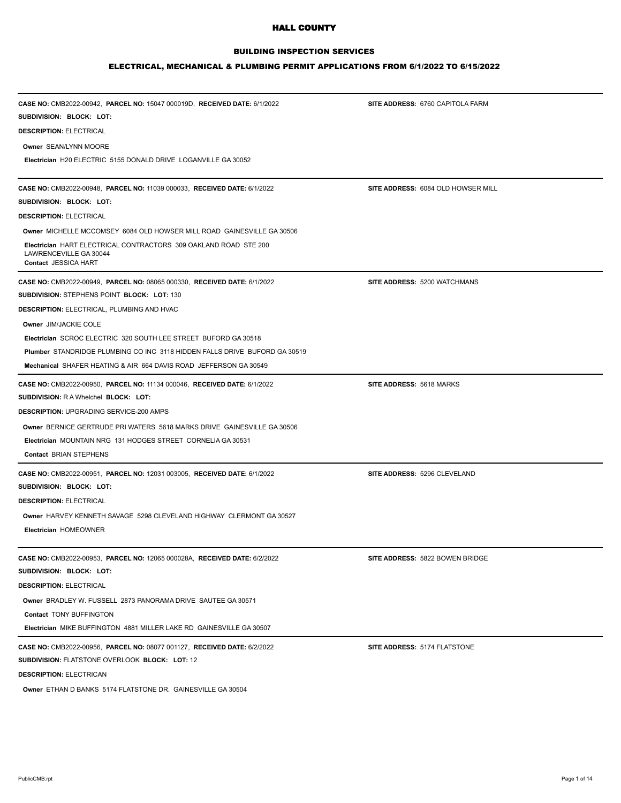## BUILDING INSPECTION SERVICES

### ELECTRICAL, MECHANICAL & PLUMBING PERMIT APPLICATIONS FROM 6/1/2022 TO 6/15/2022

| CASE NO: CMB2022-00942, PARCEL NO: 15047 000019D, RECEIVED DATE: 6/1/2022                                                 | SITE ADDRESS: 6760 CAPITOLA FARM   |  |
|---------------------------------------------------------------------------------------------------------------------------|------------------------------------|--|
| SUBDIVISION: BLOCK: LOT:                                                                                                  |                                    |  |
| <b>DESCRIPTION: ELECTRICAL</b>                                                                                            |                                    |  |
| Owner SEAN/LYNN MOORE                                                                                                     |                                    |  |
| Electrician H20 ELECTRIC 5155 DONALD DRIVE LOGANVILLE GA 30052                                                            |                                    |  |
| CASE NO: CMB2022-00948, PARCEL NO: 11039 000033, RECEIVED DATE: 6/1/2022                                                  | SITE ADDRESS: 6084 OLD HOWSER MILL |  |
| SUBDIVISION: BLOCK: LOT:                                                                                                  |                                    |  |
| <b>DESCRIPTION: ELECTRICAL</b>                                                                                            |                                    |  |
| Owner MICHELLE MCCOMSEY 6084 OLD HOWSER MILL ROAD GAINESVILLE GA 30506                                                    |                                    |  |
| <b>Electrician HART ELECTRICAL CONTRACTORS 309 OAKLAND ROAD STE 200</b><br>LAWRENCEVILLE GA 30044<br>Contact JESSICA HART |                                    |  |
| CASE NO: CMB2022-00949, PARCEL NO: 08065 000330, RECEIVED DATE: 6/1/2022                                                  | SITE ADDRESS: 5200 WATCHMANS       |  |
| SUBDIVISION: STEPHENS POINT BLOCK: LOT: 130                                                                               |                                    |  |
| <b>DESCRIPTION: ELECTRICAL, PLUMBING AND HVAC</b>                                                                         |                                    |  |
| Owner JIM/JACKIE COLE                                                                                                     |                                    |  |
| Electrician SCROC ELECTRIC 320 SOUTH LEE STREET BUFORD GA 30518                                                           |                                    |  |
| Plumber STANDRIDGE PLUMBING CO INC 3118 HIDDEN FALLS DRIVE BUFORD GA 30519                                                |                                    |  |
| Mechanical SHAFER HEATING & AIR 664 DAVIS ROAD JEFFERSON GA 30549                                                         |                                    |  |
| CASE NO: CMB2022-00950, PARCEL NO: 11134 000046, RECEIVED DATE: 6/1/2022                                                  | SITE ADDRESS: 5618 MARKS           |  |
| <b>SUBDIVISION: RA Whelchel BLOCK: LOT:</b>                                                                               |                                    |  |
| <b>DESCRIPTION: UPGRADING SERVICE-200 AMPS</b>                                                                            |                                    |  |
| Owner BERNICE GERTRUDE PRI WATERS 5618 MARKS DRIVE GAINESVILLE GA 30506                                                   |                                    |  |
| Electrician MOUNTAIN NRG 131 HODGES STREET CORNELIA GA 30531                                                              |                                    |  |
| Contact BRIAN STEPHENS                                                                                                    |                                    |  |
| CASE NO: CMB2022-00951, PARCEL NO: 12031 003005, RECEIVED DATE: 6/1/2022                                                  | SITE ADDRESS: 5296 CLEVELAND       |  |
| SUBDIVISION: BLOCK: LOT:                                                                                                  |                                    |  |
| <b>DESCRIPTION: ELECTRICAL</b>                                                                                            |                                    |  |
| Owner HARVEY KENNETH SAVAGE 5298 CLEVELAND HIGHWAY CLERMONT GA 30527                                                      |                                    |  |
| Electrician HOMEOWNER                                                                                                     |                                    |  |
| CASE NO: CMB2022-00953, PARCEL NO: 12065 000028A, RECEIVED DATE: 6/2/2022                                                 | SITE ADDRESS: 5822 BOWEN BRIDGE    |  |
| SUBDIVISION: BLOCK: LOT:                                                                                                  |                                    |  |
| <b>DESCRIPTION: ELECTRICAL</b>                                                                                            |                                    |  |
| <b>Owner BRADLEY W. FUSSELL 2873 PANORAMA DRIVE SAUTEE GA 30571</b>                                                       |                                    |  |
| <b>Contact TONY BUFFINGTON</b>                                                                                            |                                    |  |
| Electrician MIKE BUFFINGTON 4881 MILLER LAKE RD GAINESVILLE GA 30507                                                      |                                    |  |
| CASE NO: CMB2022-00956, PARCEL NO: 08077 001127, RECEIVED DATE: 6/2/2022                                                  | SITE ADDRESS: 5174 FLATSTONE       |  |
| <b>SUBDIVISION: FLATSTONE OVERLOOK BLOCK: LOT: 12</b>                                                                     |                                    |  |
| <b>DESCRIPTION: ELECTRICAN</b>                                                                                            |                                    |  |

**Owner** ETHAN D BANKS 5174 FLATSTONE DR. GAINESVILLE GA 30504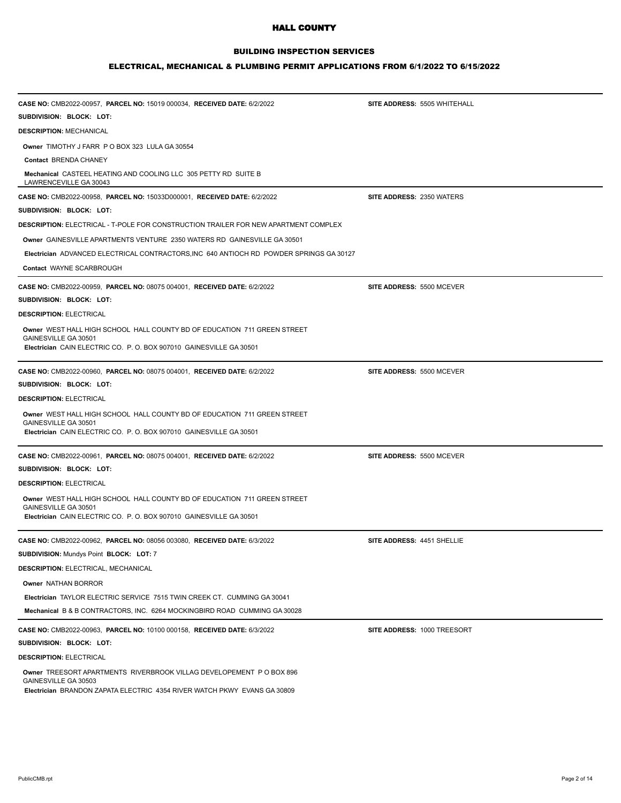### BUILDING INSPECTION SERVICES

#### ELECTRICAL, MECHANICAL & PLUMBING PERMIT APPLICATIONS FROM 6/1/2022 TO 6/15/2022

| CASE NO: CMB2022-00957, PARCEL NO: 15019 000034, RECEIVED DATE: 6/2/2022                                                                                                | SITE ADDRESS: 5505 WHITEHALL     |
|-------------------------------------------------------------------------------------------------------------------------------------------------------------------------|----------------------------------|
| SUBDIVISION: BLOCK: LOT:                                                                                                                                                |                                  |
| <b>DESCRIPTION: MECHANICAL</b>                                                                                                                                          |                                  |
| <b>Owner TIMOTHY J FARR P O BOX 323 LULA GA 30554</b>                                                                                                                   |                                  |
| Contact BRENDA CHANEY                                                                                                                                                   |                                  |
| Mechanical CASTEEL HEATING AND COOLING LLC 305 PETTY RD SUITE B<br>LAWRENCEVILLE GA 30043                                                                               |                                  |
| CASE NO: CMB2022-00958, PARCEL NO: 15033D000001, RECEIVED DATE: 6/2/2022                                                                                                | SITE ADDRESS: 2350 WATERS        |
| SUBDIVISION: BLOCK: LOT:                                                                                                                                                |                                  |
| <b>DESCRIPTION: ELECTRICAL - T-POLE FOR CONSTRUCTION TRAILER FOR NEW APARTMENT COMPLEX</b>                                                                              |                                  |
| Owner GAINESVILLE APARTMENTS VENTURE 2350 WATERS RD GAINESVILLE GA 30501                                                                                                |                                  |
| Electrician ADVANCED ELECTRICAL CONTRACTORS, INC 640 ANTIOCH RD POWDER SPRINGS GA 30127                                                                                 |                                  |
| Contact WAYNE SCARBROUGH                                                                                                                                                |                                  |
| CASE NO: CMB2022-00959, PARCEL NO: 08075 004001, RECEIVED DATE: 6/2/2022                                                                                                | <b>SITE ADDRESS: 5500 MCEVER</b> |
| SUBDIVISION: BLOCK: LOT:                                                                                                                                                |                                  |
| <b>DESCRIPTION: ELECTRICAL</b>                                                                                                                                          |                                  |
| Owner WEST HALL HIGH SCHOOL HALL COUNTY BD OF EDUCATION 711 GREEN STREET<br>GAINESVILLE GA 30501<br>Electrician CAIN ELECTRIC CO. P. O. BOX 907010 GAINESVILLE GA 30501 |                                  |
| CASE NO: CMB2022-00960, PARCEL NO: 08075 004001, RECEIVED DATE: 6/2/2022                                                                                                | SITE ADDRESS: 5500 MCEVER        |
| SUBDIVISION: BLOCK: LOT:                                                                                                                                                |                                  |
| <b>DESCRIPTION: ELECTRICAL</b>                                                                                                                                          |                                  |
| Owner WEST HALL HIGH SCHOOL HALL COUNTY BD OF EDUCATION 711 GREEN STREET<br>GAINESVILLE GA 30501                                                                        |                                  |
| Electrician CAIN ELECTRIC CO. P. O. BOX 907010 GAINESVILLE GA 30501                                                                                                     |                                  |
| CASE NO: CMB2022-00961, PARCEL NO: 08075 004001, RECEIVED DATE: 6/2/2022                                                                                                | SITE ADDRESS: 5500 MCEVER        |
| SUBDIVISION: BLOCK: LOT:                                                                                                                                                |                                  |
| <b>DESCRIPTION: ELECTRICAL</b>                                                                                                                                          |                                  |
| Owner WEST HALL HIGH SCHOOL HALL COUNTY BD OF EDUCATION 711 GREEN STREET<br>GAINESVILLE GA 30501<br>Electrician CAIN ELECTRIC CO. P. O. BOX 907010 GAINESVILLE GA 30501 |                                  |
| CASE NO: CMB2022-00962, PARCEL NO: 08056 003080, RECEIVED DATE: 6/3/2022                                                                                                | SITE ADDRESS: 4451 SHELLIE       |
| SUBDIVISION: Mundys Point BLOCK: LOT: 7                                                                                                                                 |                                  |
| <b>DESCRIPTION: ELECTRICAL, MECHANICAL</b>                                                                                                                              |                                  |
| Owner NATHAN BORROR                                                                                                                                                     |                                  |
| Electrician TAYLOR ELECTRIC SERVICE 7515 TWIN CREEK CT. CUMMING GA 30041                                                                                                |                                  |
| Mechanical B & B CONTRACTORS, INC. 6264 MOCKINGBIRD ROAD CUMMING GA 30028                                                                                               |                                  |
| CASE NO: CMB2022-00963, PARCEL NO: 10100 000158, RECEIVED DATE: 6/3/2022                                                                                                | SITE ADDRESS: 1000 TREESORT      |
| SUBDIVISION: BLOCK: LOT:                                                                                                                                                |                                  |
| <b>DESCRIPTION: ELECTRICAL</b>                                                                                                                                          |                                  |

**Owner** TREESORT APARTMENTS RIVERBROOK VILLAG DEVELOPEMENT P O BOX 896 GAINESVILLE GA 30503 **Electrician** BRANDON ZAPATA ELECTRIC 4354 RIVER WATCH PKWY EVANS GA 30809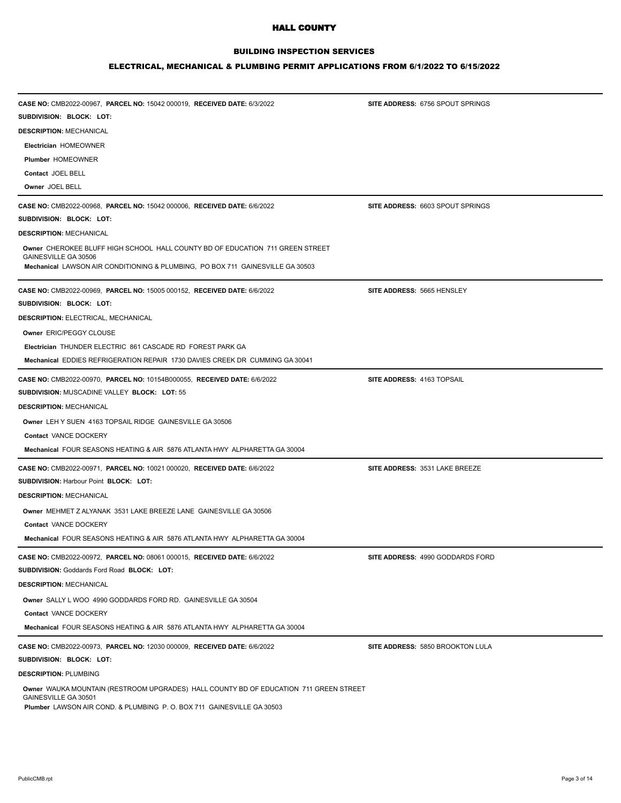## BUILDING INSPECTION SERVICES

### ELECTRICAL, MECHANICAL & PLUMBING PERMIT APPLICATIONS FROM 6/1/2022 TO 6/15/2022

| CASE NO: CMB2022-00967, PARCEL NO: 15042 000019, RECEIVED DATE: 6/3/2022<br>SUBDIVISION: BLOCK: LOT:          | SITE ADDRESS: 6756 SPOUT SPRINGS        |
|---------------------------------------------------------------------------------------------------------------|-----------------------------------------|
| <b>DESCRIPTION: MECHANICAL</b>                                                                                |                                         |
|                                                                                                               |                                         |
| Electrician HOMEOWNER<br><b>Plumber HOMEOWNER</b>                                                             |                                         |
| Contact JOEL BELL                                                                                             |                                         |
| Owner JOEL BELL                                                                                               |                                         |
|                                                                                                               |                                         |
| CASE NO: CMB2022-00968, PARCEL NO: 15042 000006, RECEIVED DATE: 6/6/2022                                      | SITE ADDRESS: 6603 SPOUT SPRINGS        |
| SUBDIVISION: BLOCK: LOT:                                                                                      |                                         |
| <b>DESCRIPTION: MECHANICAL</b>                                                                                |                                         |
| Owner CHEROKEE BLUFF HIGH SCHOOL HALL COUNTY BD OF EDUCATION 711 GREEN STREET                                 |                                         |
| GAINESVILLE GA 30506<br>Mechanical LAWSON AIR CONDITIONING & PLUMBING, PO BOX 711 GAINESVILLE GA 30503        |                                         |
| CASE NO: CMB2022-00969, PARCEL NO: 15005 000152, RECEIVED DATE: 6/6/2022                                      | SITE ADDRESS: 5665 HENSLEY              |
| SUBDIVISION: BLOCK: LOT:                                                                                      |                                         |
| <b>DESCRIPTION: ELECTRICAL, MECHANICAL</b>                                                                    |                                         |
| Owner ERIC/PEGGY CLOUSE                                                                                       |                                         |
| Electrician THUNDER ELECTRIC 861 CASCADE RD FOREST PARK GA                                                    |                                         |
| Mechanical EDDIES REFRIGERATION REPAIR 1730 DAVIES CREEK DR CUMMING GA 30041                                  |                                         |
| CASE NO: CMB2022-00970, PARCEL NO: 10154B000055, RECEIVED DATE: 6/6/2022                                      | SITE ADDRESS: 4163 TOPSAIL              |
| Subdivision: Muscadine Valley Block: Lot: 55                                                                  |                                         |
| <b>DESCRIPTION: MECHANICAL</b>                                                                                |                                         |
| Owner LEH Y SUEN 4163 TOPSAIL RIDGE GAINESVILLE GA 30506                                                      |                                         |
| Contact VANCE DOCKERY                                                                                         |                                         |
| Mechanical FOUR SEASONS HEATING & AIR 5876 ATLANTA HWY ALPHARETTA GA 30004                                    |                                         |
| CASE NO: CMB2022-00971, PARCEL NO: 10021 000020, RECEIVED DATE: 6/6/2022                                      | SITE ADDRESS: 3531 LAKE BREEZE          |
| <b>SUBDIVISION: Harbour Point BLOCK: LOT:</b>                                                                 |                                         |
| <b>DESCRIPTION: MECHANICAL</b>                                                                                |                                         |
|                                                                                                               |                                         |
| Owner MEHMET Z ALYANAK 3531 LAKE BREEZE LANE GAINESVILLE GA 30506                                             |                                         |
| Contact VANCE DOCKERY                                                                                         |                                         |
| Mechanical FOUR SEASONS HEATING & AIR 5876 ATLANTA HWY ALPHARETTA GA 30004                                    |                                         |
| CASE NO: CMB2022-00972, PARCEL NO: 08061 000015, RECEIVED DATE: 6/6/2022                                      | SITE ADDRESS: 4990 GODDARDS FORD        |
| SUBDIVISION: Goddards Ford Road BLOCK: LOT:                                                                   |                                         |
| <b>DESCRIPTION: MECHANICAL</b>                                                                                |                                         |
| Owner SALLY L WOO 4990 GODDARDS FORD RD. GAINESVILLE GA 30504                                                 |                                         |
| Contact VANCE DOCKERY                                                                                         |                                         |
| Mechanical FOUR SEASONS HEATING & AIR 5876 ATLANTA HWY ALPHARETTA GA 30004                                    |                                         |
| CASE NO: CMB2022-00973, PARCEL NO: 12030 000009, RECEIVED DATE: 6/6/2022                                      | <b>SITE ADDRESS: 5850 BROOKTON LULA</b> |
| SUBDIVISION: BLOCK: LOT:                                                                                      |                                         |
| <b>DESCRIPTION: PLUMBING</b>                                                                                  |                                         |
| Owner WAUKA MOUNTAIN (RESTROOM UPGRADES) HALL COUNTY BD OF EDUCATION 711 GREEN STREET<br>GAINESVILLE GA 30501 |                                         |

**Plumber** LAWSON AIR COND. & PLUMBING P. O. BOX 711 GAINESVILLE GA 30503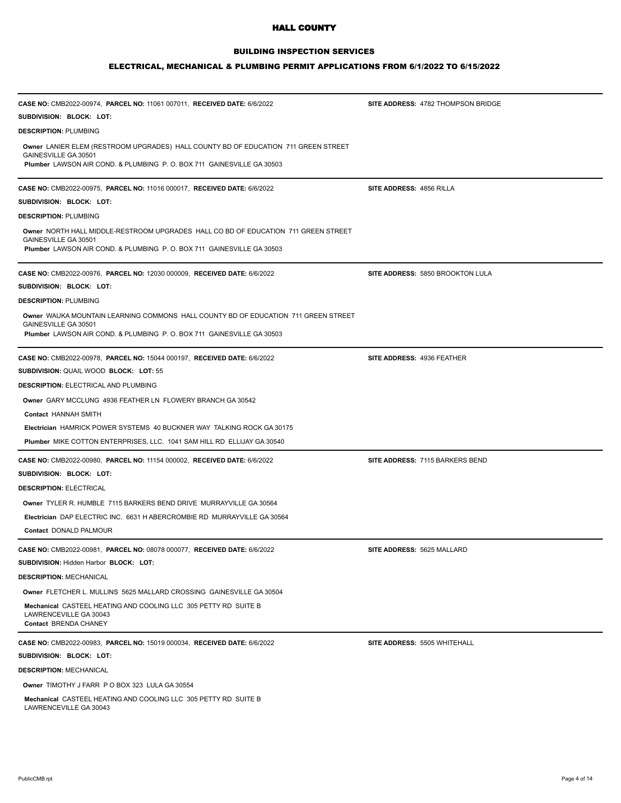## BUILDING INSPECTION SERVICES

| CASE NO: CMB2022-00974, PARCEL NO: 11061 007011, RECEIVED DATE: 6/6/2022                                   | <b>SITE ADDRESS: 4782 THOMPSON BRIDGE</b> |
|------------------------------------------------------------------------------------------------------------|-------------------------------------------|
| SUBDIVISION: BLOCK: LOT:                                                                                   |                                           |
| <b>DESCRIPTION: PLUMBING</b>                                                                               |                                           |
| Owner LANIER ELEM (RESTROOM UPGRADES) HALL COUNTY BD OF EDUCATION 711 GREEN STREET                         |                                           |
| GAINESVILLE GA 30501<br>Plumber LAWSON AIR COND. & PLUMBING P. O. BOX 711 GAINESVILLE GA 30503             |                                           |
|                                                                                                            |                                           |
| CASE NO: CMB2022-00975, PARCEL NO: 11016 000017, RECEIVED DATE: 6/6/2022                                   | SITE ADDRESS: 4856 RILLA                  |
| SUBDIVISION: BLOCK: LOT:                                                                                   |                                           |
| <b>DESCRIPTION: PLUMBING</b>                                                                               |                                           |
| Owner NORTH HALL MIDDLE-RESTROOM UPGRADES HALL CO BD OF EDUCATION 711 GREEN STREET                         |                                           |
| GAINESVILLE GA 30501<br>Plumber LAWSON AIR COND. & PLUMBING P. O. BOX 711 GAINESVILLE GA 30503             |                                           |
|                                                                                                            |                                           |
| CASE NO: CMB2022-00976, PARCEL NO: 12030 000009, RECEIVED DATE: 6/6/2022                                   | SITE ADDRESS: 5850 BROOKTON LULA          |
| SUBDIVISION: BLOCK: LOT:                                                                                   |                                           |
| <b>DESCRIPTION: PLUMBING</b>                                                                               |                                           |
| Owner WAUKA MOUNTAIN LEARNING COMMONS HALL COUNTY BD OF EDUCATION 711 GREEN STREET<br>GAINESVILLE GA 30501 |                                           |
| Plumber LAWSON AIR COND. & PLUMBING P. O. BOX 711 GAINESVILLE GA 30503                                     |                                           |
|                                                                                                            |                                           |
| CASE NO: CMB2022-00978, PARCEL NO: 15044 000197, RECEIVED DATE: 6/6/2022                                   | SITE ADDRESS: 4936 FEATHER                |
| SUBDIVISION: QUAIL WOOD BLOCK: LOT: 55                                                                     |                                           |
| <b>DESCRIPTION: ELECTRICAL AND PLUMBING</b>                                                                |                                           |
| <b>Owner GARY MCCLUNG 4936 FEATHER LN FLOWERY BRANCH GA 30542</b>                                          |                                           |
| Contact HANNAH SMITH                                                                                       |                                           |
| <b>Electrician HAMRICK POWER SYSTEMS 40 BUCKNER WAY TALKING ROCK GA 30175</b>                              |                                           |
| Plumber MIKE COTTON ENTERPRISES, LLC. 1041 SAM HILL RD ELLIJAY GA 30540                                    |                                           |
| CASE NO: CMB2022-00980, PARCEL NO: 11154 000002, RECEIVED DATE: 6/6/2022                                   | <b>SITE ADDRESS: 7115 BARKERS BEND</b>    |
| SUBDIVISION: BLOCK: LOT:                                                                                   |                                           |
| <b>DESCRIPTION: ELECTRICAL</b>                                                                             |                                           |
| Owner TYLER R. HUMBLE 7115 BARKERS BEND DRIVE MURRAYVILLE GA 30564                                         |                                           |
| Electrician DAP ELECTRIC INC. 6631 H ABERCROMBIE RD MURRAYVILLE GA 30564                                   |                                           |
| Contact DONALD PALMOUR                                                                                     |                                           |
| CASE NO: CMB2022-00981, PARCEL NO: 08078 000077, RECEIVED DATE: 6/6/2022                                   | SITE ADDRESS: 5625 MALLARD                |
| SUBDIVISION: Hidden Harbor BLOCK: LOT:                                                                     |                                           |
| <b>DESCRIPTION: MECHANICAL</b>                                                                             |                                           |
| Owner FLETCHER L. MULLINS 5625 MALLARD CROSSING GAINESVILLE GA 30504                                       |                                           |
| Mechanical CASTEEL HEATING AND COOLING LLC 305 PETTY RD SUITE B                                            |                                           |
| LAWRENCEVILLE GA 30043<br>Contact BRENDA CHANEY                                                            |                                           |
| CASE NO: CMB2022-00983, PARCEL NO: 15019 000034, RECEIVED DATE: 6/6/2022                                   | SITE ADDRESS: 5505 WHITEHALL              |
| SUBDIVISION: BLOCK: LOT:                                                                                   |                                           |
| <b>DESCRIPTION: MECHANICAL</b>                                                                             |                                           |
| Owner TIMOTHY J FARR P O BOX 323 LULA GA 30554                                                             |                                           |
| Mechanical CASTEEL HEATING AND COOLING LLC 305 PETTY RD SUITE B                                            |                                           |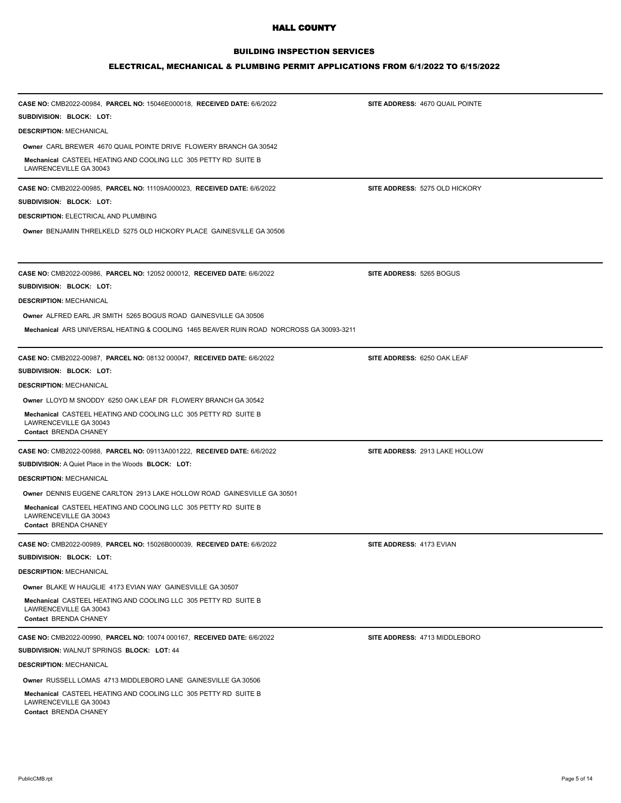## BUILDING INSPECTION SERVICES

| CASE NO: CMB2022-00984, PARCEL NO: 15046E000018, RECEIVED DATE: 6/6/2022<br>SUBDIVISION: BLOCK: LOT:               | SITE ADDRESS: 4670 QUAIL POINTE |
|--------------------------------------------------------------------------------------------------------------------|---------------------------------|
| <b>DESCRIPTION: MECHANICAL</b>                                                                                     |                                 |
| Owner CARL BREWER 4670 QUAIL POINTE DRIVE FLOWERY BRANCH GA 30542                                                  |                                 |
| Mechanical CASTEEL HEATING AND COOLING LLC 305 PETTY RD SUITE B<br>LAWRENCEVILLE GA 30043                          |                                 |
| CASE NO: CMB2022-00985, PARCEL NO: 11109A000023, RECEIVED DATE: 6/6/2022                                           | SITE ADDRESS: 5275 OLD HICKORY  |
| SUBDIVISION: BLOCK: LOT:                                                                                           |                                 |
| <b>DESCRIPTION: ELECTRICAL AND PLUMBING</b>                                                                        |                                 |
| Owner BENJAMIN THRELKELD 5275 OLD HICKORY PLACE GAINESVILLE GA 30506                                               |                                 |
| CASE NO: CMB2022-00986, PARCEL NO: 12052 000012, RECEIVED DATE: 6/6/2022                                           | <b>SITE ADDRESS: 5265 BOGUS</b> |
| SUBDIVISION: BLOCK: LOT:                                                                                           |                                 |
| <b>DESCRIPTION: MECHANICAL</b>                                                                                     |                                 |
| Owner ALFRED EARL JR SMITH 5265 BOGUS ROAD GAINESVILLE GA 30506                                                    |                                 |
| Mechanical ARS UNIVERSAL HEATING & COOLING 1465 BEAVER RUIN ROAD NORCROSS GA 30093-3211                            |                                 |
| CASE NO: CMB2022-00987, PARCEL NO: 08132 000047, RECEIVED DATE: 6/6/2022                                           | SITE ADDRESS: 6250 OAK LEAF     |
| SUBDIVISION: BLOCK: LOT:                                                                                           |                                 |
| <b>DESCRIPTION: MECHANICAL</b>                                                                                     |                                 |
| Owner LLOYD M SNODDY 6250 OAK LEAF DR FLOWERY BRANCH GA 30542                                                      |                                 |
| Mechanical CASTEEL HEATING AND COOLING LLC 305 PETTY RD SUITE B<br>LAWRENCEVILLE GA 30043<br>Contact BRENDA CHANEY |                                 |
| CASE NO: CMB2022-00988, PARCEL NO: 09113A001222, RECEIVED DATE: 6/6/2022                                           | SITE ADDRESS: 2913 LAKE HOLLOW  |
| <b>SUBDIVISION: A Quiet Place in the Woods BLOCK: LOT:</b>                                                         |                                 |
| <b>DESCRIPTION: MECHANICAL</b>                                                                                     |                                 |
| Owner DENNIS EUGENE CARLTON 2913 LAKE HOLLOW ROAD GAINESVILLE GA 30501                                             |                                 |
| Mechanical CASTEEL HEATING AND COOLING LLC 305 PETTY RD SUITE B<br>LAWRENCEVILLE GA 30043<br>Contact BRENDA CHANEY |                                 |
| CASE NO: CMB2022-00989, PARCEL NO: 15026B000039, RECEIVED DATE: 6/6/2022                                           | SITE ADDRESS: 4173 EVIAN        |
| SUBDIVISION: BLOCK: LOT:                                                                                           |                                 |
| <b>DESCRIPTION: MECHANICAL</b>                                                                                     |                                 |
| Owner BLAKE W HAUGLIE 4173 EVIAN WAY GAINESVILLE GA 30507                                                          |                                 |
| Mechanical CASTEEL HEATING AND COOLING LLC 305 PETTY RD SUITE B<br>LAWRENCEVILLE GA 30043<br>Contact BRENDA CHANEY |                                 |
| CASE NO: CMB2022-00990, PARCEL NO: 10074 000167, RECEIVED DATE: 6/6/2022                                           | SITE ADDRESS: 4713 MIDDLEBORO   |
| SUBDIVISION: WALNUT SPRINGS BLOCK: LOT: 44                                                                         |                                 |
| <b>DESCRIPTION: MECHANICAL</b>                                                                                     |                                 |
| Owner RUSSELL LOMAS 4713 MIDDLEBORO LANE GAINESVILLE GA 30506                                                      |                                 |
| Mechanical CASTEEL HEATING AND COOLING LLC 305 PETTY RD SUITE B<br>LAWRENCEVILLE GA 30043                          |                                 |
| Contact BRENDA CHANEY                                                                                              |                                 |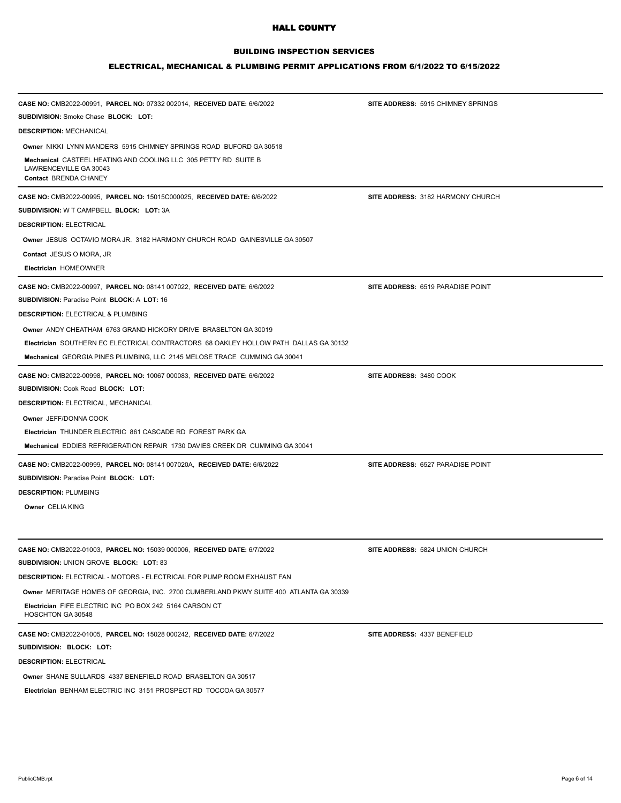## BUILDING INSPECTION SERVICES

| CASE NO: CMB2022-00991, PARCEL NO: 07332 002014, RECEIVED DATE: 6/6/2022                                           | SITE ADDRESS: 5915 CHIMNEY SPRINGS |
|--------------------------------------------------------------------------------------------------------------------|------------------------------------|
| <b>SUBDIVISION:</b> Smoke Chase <b>BLOCK: LOT:</b>                                                                 |                                    |
| <b>DESCRIPTION: MECHANICAL</b>                                                                                     |                                    |
| Owner NIKKI LYNN MANDERS 5915 CHIMNEY SPRINGS ROAD BUFORD GA 30518                                                 |                                    |
| Mechanical CASTEEL HEATING AND COOLING LLC 305 PETTY RD SUITE B<br>LAWRENCEVILLE GA 30043<br>Contact BRENDA CHANEY |                                    |
| CASE NO: CMB2022-00995, PARCEL NO: 15015C000025, RECEIVED DATE: 6/6/2022                                           | SITE ADDRESS: 3182 HARMONY CHURCH  |
| SUBDIVISION: W T CAMPBELL BLOCK: LOT: 3A                                                                           |                                    |
| <b>DESCRIPTION: ELECTRICAL</b>                                                                                     |                                    |
| Owner JESUS OCTAVIO MORA JR. 3182 HARMONY CHURCH ROAD GAINESVILLE GA 30507                                         |                                    |
| Contact JESUS O MORA, JR                                                                                           |                                    |
| Electrician HOMEOWNER                                                                                              |                                    |
| CASE NO: CMB2022-00997, PARCEL NO: 08141 007022, RECEIVED DATE: 6/6/2022                                           | SITE ADDRESS: 6519 PARADISE POINT  |
| SUBDIVISION: Paradise Point BLOCK: A LOT: 16                                                                       |                                    |
| <b>DESCRIPTION: ELECTRICAL &amp; PLUMBING</b>                                                                      |                                    |
| Owner ANDY CHEATHAM 6763 GRAND HICKORY DRIVE BRASELTON GA 30019                                                    |                                    |
| Electrician SOUTHERN EC ELECTRICAL CONTRACTORS 68 OAKLEY HOLLOW PATH DALLAS GA 30132                               |                                    |
| Mechanical GEORGIA PINES PLUMBING, LLC 2145 MELOSE TRACE CUMMING GA 30041                                          |                                    |
| CASE NO: CMB2022-00998, PARCEL NO: 10067 000083, RECEIVED DATE: 6/6/2022                                           | SITE ADDRESS: 3480 COOK            |
| <b>SUBDIVISION: Cook Road BLOCK: LOT:</b>                                                                          |                                    |
| <b>DESCRIPTION: ELECTRICAL, MECHANICAL</b>                                                                         |                                    |
| Owner JEFF/DONNA COOK                                                                                              |                                    |
| Electrician THUNDER ELECTRIC 861 CASCADE RD FOREST PARK GA                                                         |                                    |
| Mechanical EDDIES REFRIGERATION REPAIR 1730 DAVIES CREEK DR CUMMING GA 30041                                       |                                    |
| CASE NO: CMB2022-00999, PARCEL NO: 08141 007020A, RECEIVED DATE: 6/6/2022                                          | SITE ADDRESS: 6527 PARADISE POINT  |
| SUBDIVISION: Paradise Point BLOCK: LOT:                                                                            |                                    |
| <b>DESCRIPTION: PLUMBING</b>                                                                                       |                                    |
| Owner CELIA KING                                                                                                   |                                    |
|                                                                                                                    |                                    |
| CASE NO: CMB2022-01003, PARCEL NO: 15039 000006, RECEIVED DATE: 6/7/2022                                           | SITE ADDRESS: 5824 UNION CHURCH    |
| SUBDIVISION: UNION GROVE BLOCK: LOT: 83                                                                            |                                    |
| DESCRIPTION: ELECTRICAL - MOTORS - ELECTRICAL FOR PUMP ROOM EXHAUST FAN                                            |                                    |
| Owner MERITAGE HOMES OF GEORGIA, INC. 2700 CUMBERLAND PKWY SUITE 400 ATLANTA GA 30339                              |                                    |
| Electrician FIFE ELECTRIC INC PO BOX 242 5164 CARSON CT<br>HOSCHTON GA 30548                                       |                                    |
| CASE NO: CMB2022-01005, PARCEL NO: 15028 000242, RECEIVED DATE: 6/7/2022                                           | SITE ADDRESS: 4337 BENEFIELD       |
| SUBDIVISION: BLOCK: LOT:                                                                                           |                                    |
| <b>DESCRIPTION: ELECTRICAL</b>                                                                                     |                                    |
| <b>Owner SHANE SULLARDS 4337 BENEFIELD ROAD BRASELTON GA 30517</b>                                                 |                                    |
| Electrician BENHAM ELECTRIC INC 3151 PROSPECT RD TOCCOA GA 30577                                                   |                                    |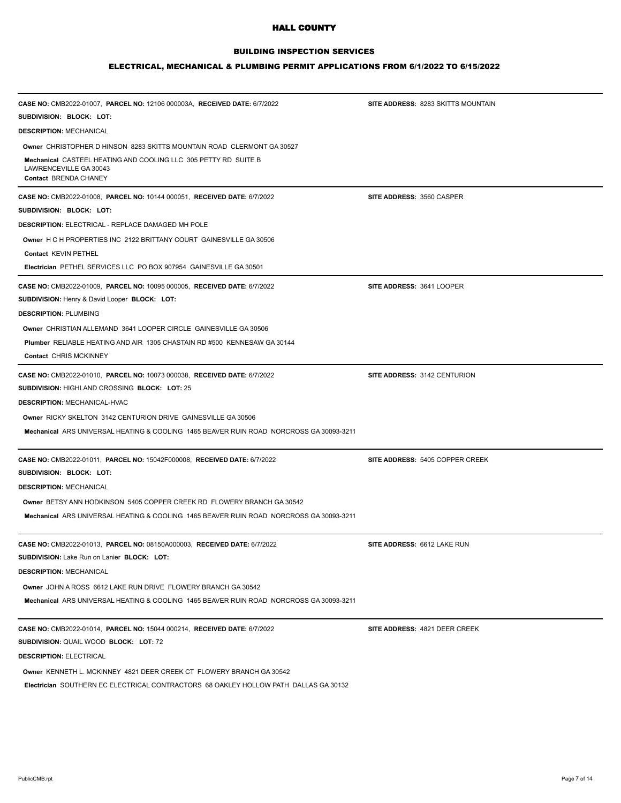### BUILDING INSPECTION SERVICES

#### ELECTRICAL, MECHANICAL & PLUMBING PERMIT APPLICATIONS FROM 6/1/2022 TO 6/15/2022

| CASE NO: CMB2022-01007, PARCEL NO: 12106 000003A, RECEIVED DATE: 6/7/2022                                                 | SITE ADDRESS: 8283 SKITTS MOUNTAIN |
|---------------------------------------------------------------------------------------------------------------------------|------------------------------------|
| SUBDIVISION: BLOCK: LOT:                                                                                                  |                                    |
| <b>DESCRIPTION: MECHANICAL</b>                                                                                            |                                    |
| Owner CHRISTOPHER D HINSON 8283 SKITTS MOUNTAIN ROAD CLERMONT GA 30527                                                    |                                    |
| Mechanical CASTEEL HEATING AND COOLING LLC 305 PETTY RD SUITE B<br>LAWRENCEVILLE GA 30043<br>Contact BRENDA CHANEY        |                                    |
| CASE NO: CMB2022-01008, PARCEL NO: 10144 000051, RECEIVED DATE: 6/7/2022                                                  | SITE ADDRESS: 3560 CASPER          |
| SUBDIVISION: BLOCK: LOT:                                                                                                  |                                    |
| DESCRIPTION: ELECTRICAL - REPLACE DAMAGED MH POLE                                                                         |                                    |
| <b>Owner H C H PROPERTIES INC 2122 BRITTANY COURT GAINESVILLE GA 30506</b>                                                |                                    |
| Contact KEVIN PETHEL                                                                                                      |                                    |
| Electrician PETHEL SERVICES LLC PO BOX 907954 GAINESVILLE GA 30501                                                        |                                    |
| CASE NO: CMB2022-01009, PARCEL NO: 10095 000005, RECEIVED DATE: 6/7/2022<br>SUBDIVISION: Henry & David Looper BLOCK: LOT: | SITE ADDRESS: 3641 LOOPER          |
| <b>DESCRIPTION: PLUMBING</b>                                                                                              |                                    |
| Owner CHRISTIAN ALLEMAND 3641 LOOPER CIRCLE GAINESVILLE GA 30506                                                          |                                    |
| Plumber RELIABLE HEATING AND AIR 1305 CHASTAIN RD #500 KENNESAW GA 30144                                                  |                                    |
| Contact CHRIS MCKINNEY                                                                                                    |                                    |
| CASE NO: CMB2022-01010, PARCEL NO: 10073 000038, RECEIVED DATE: 6/7/2022                                                  | SITE ADDRESS: 3142 CENTURION       |
| SUBDIVISION: HIGHLAND CROSSING BLOCK: LOT: 25                                                                             |                                    |
| <b>DESCRIPTION: MECHANICAL-HVAC</b>                                                                                       |                                    |
| Owner RICKY SKELTON 3142 CENTURION DRIVE GAINESVILLE GA 30506                                                             |                                    |
| <b>Mechanical ARS UNIVERSAL HEATING &amp; COOLING 1465 BEAVER RUIN ROAD NORCROSS GA 30093-3211</b>                        |                                    |
| CASE NO: CMB2022-01011, PARCEL NO: 15042F000008, RECEIVED DATE: 6/7/2022                                                  | SITE ADDRESS: 5405 COPPER CREEK    |
| SUBDIVISION: BLOCK: LOT:                                                                                                  |                                    |
| <b>DESCRIPTION: MECHANICAL</b>                                                                                            |                                    |
| Owner BETSY ANN HODKINSON 5405 COPPER CREEK RD FLOWERY BRANCH GA 30542                                                    |                                    |
| Mechanical ARS UNIVERSAL HEATING & COOLING 1465 BEAVER RUIN ROAD NORCROSS GA 30093-3211                                   |                                    |
| <b>CASE NO: CMB2022-01013, PARCEL NO: 08150A000003, RECEIVED DATE: 6/7/2022</b>                                           | SITE ADDRESS: 6612 LAKE RUN        |
| SUBDIVISION: Lake Run on Lanier BLOCK: LOT:                                                                               |                                    |
| <b>DESCRIPTION: MECHANICAL</b>                                                                                            |                                    |
| Owner JOHN A ROSS 6612 LAKE RUN DRIVE FLOWERY BRANCH GA 30542                                                             |                                    |
| Mechanical ARS UNIVERSAL HEATING & COOLING 1465 BEAVER RUIN ROAD NORCROSS GA 30093-3211                                   |                                    |
| CASE NO: CMB2022-01014, PARCEL NO: 15044 000214, RECEIVED DATE: 6/7/2022                                                  | SITE ADDRESS: 4821 DEER CREEK      |
| SUBDIVISION: QUAIL WOOD BLOCK: LOT: 72                                                                                    |                                    |
| <b>DESCRIPTION: ELECTRICAL</b>                                                                                            |                                    |

**Owner** KENNETH L. MCKINNEY 4821 DEER CREEK CT FLOWERY BRANCH GA 30542

**Electrician** SOUTHERN EC ELECTRICAL CONTRACTORS 68 OAKLEY HOLLOW PATH DALLAS GA 30132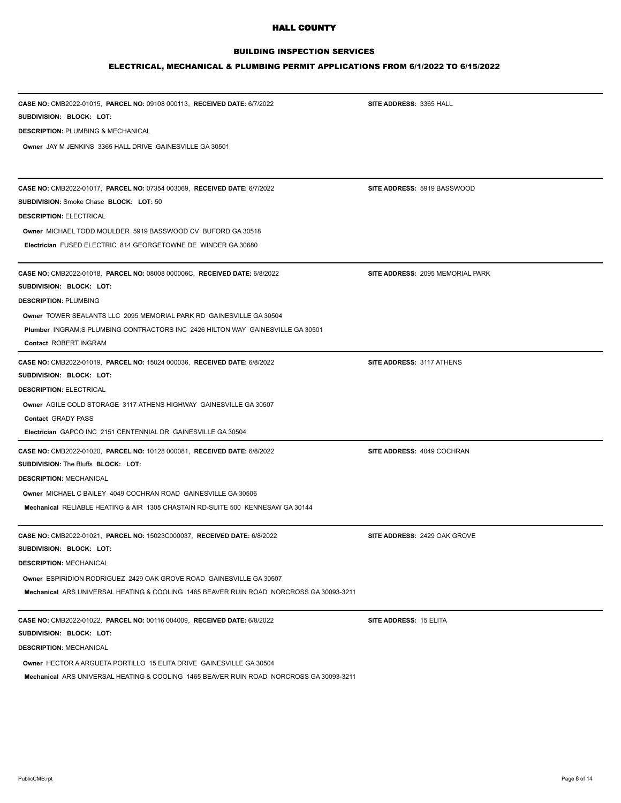## BUILDING INSPECTION SERVICES

# ELECTRICAL, MECHANICAL & PLUMBING PERMIT APPLICATIONS FROM 6/1/2022 TO 6/15/2022

| CASE NO: CMB2022-01015, PARCEL NO: 09108 000113, RECEIVED DATE: 6/7/2022<br>SUBDIVISION: BLOCK: LOT: | SITE ADDRESS: 3365 HALL          |
|------------------------------------------------------------------------------------------------------|----------------------------------|
| <b>DESCRIPTION: PLUMBING &amp; MECHANICAL</b>                                                        |                                  |
| Owner JAY M JENKINS 3365 HALL DRIVE GAINESVILLE GA 30501                                             |                                  |
|                                                                                                      |                                  |
| CASE NO: CMB2022-01017, PARCEL NO: 07354 003069, RECEIVED DATE: 6/7/2022                             | SITE ADDRESS: 5919 BASSWOOD      |
| <b>SUBDIVISION: Smoke Chase BLOCK: LOT: 50</b>                                                       |                                  |
| <b>DESCRIPTION: ELECTRICAL</b>                                                                       |                                  |
| Owner MICHAEL TODD MOULDER 5919 BASSWOOD CV BUFORD GA 30518                                          |                                  |
| Electrician FUSED ELECTRIC 814 GEORGETOWNE DE WINDER GA 30680                                        |                                  |
| CASE NO: CMB2022-01018, PARCEL NO: 08008 000006C, RECEIVED DATE: 6/8/2022                            | SITE ADDRESS: 2095 MEMORIAL PARK |
| SUBDIVISION: BLOCK: LOT:                                                                             |                                  |
| <b>DESCRIPTION: PLUMBING</b>                                                                         |                                  |
| <b>Owner TOWER SEALANTS LLC 2095 MEMORIAL PARK RD GAINESVILLE GA 30504</b>                           |                                  |
| Plumber INGRAM;S PLUMBING CONTRACTORS INC 2426 HILTON WAY GAINESVILLE GA 30501                       |                                  |
| Contact ROBERT INGRAM                                                                                |                                  |
| CASE NO: CMB2022-01019, PARCEL NO: 15024 000036, RECEIVED DATE: 6/8/2022                             | SITE ADDRESS: 3117 ATHENS        |
| SUBDIVISION: BLOCK: LOT:                                                                             |                                  |
| <b>DESCRIPTION: ELECTRICAL</b>                                                                       |                                  |
| Owner AGILE COLD STORAGE 3117 ATHENS HIGHWAY GAINESVILLE GA 30507                                    |                                  |
| Contact GRADY PASS                                                                                   |                                  |
| Electrician GAPCO INC 2151 CENTENNIAL DR GAINESVILLE GA 30504                                        |                                  |
| CASE NO: CMB2022-01020, PARCEL NO: 10128 000081, RECEIVED DATE: 6/8/2022                             | SITE ADDRESS: 4049 COCHRAN       |
| SUBDIVISION: The Bluffs BLOCK: LOT:                                                                  |                                  |
| <b>DESCRIPTION: MECHANICAL</b>                                                                       |                                  |
| <b>Owner MICHAEL C BAILEY 4049 COCHRAN ROAD GAINESVILLE GA 30506</b>                                 |                                  |
| Mechanical RELIABLE HEATING & AIR 1305 CHASTAIN RD-SUITE 500 KENNESAW GA 30144                       |                                  |
| <b>CASE NO: CMB2022-01021, PARCEL NO: 15023C000037, RECEIVED DATE: 6/8/2022</b>                      | SITE ADDRESS: 2429 OAK GROVE     |
| SUBDIVISION: BLOCK: LOT:                                                                             |                                  |
| <b>DESCRIPTION: MECHANICAL</b>                                                                       |                                  |
| Owner ESPIRIDION RODRIGUEZ 2429 OAK GROVE ROAD GAINESVILLE GA 30507                                  |                                  |
| <b>Mechanical ARS UNIVERSAL HEATING &amp; COOLING 1465 BEAVER RUIN ROAD NORCROSS GA 30093-3211</b>   |                                  |
| CASE NO: CMB2022-01022, PARCEL NO: 00116 004009, RECEIVED DATE: 6/8/2022                             | SITE ADDRESS: 15 ELITA           |
| SUBDIVISION: BLOCK: LOT:                                                                             |                                  |
| <b>DESCRIPTION: MECHANICAL</b>                                                                       |                                  |
| Owner HECTOR A ARGUETA PORTILLO 15 ELITA DRIVE GAINESVILLE GA 30504                                  |                                  |

**Mechanical** ARS UNIVERSAL HEATING & COOLING 1465 BEAVER RUIN ROAD NORCROSS GA 30093-3211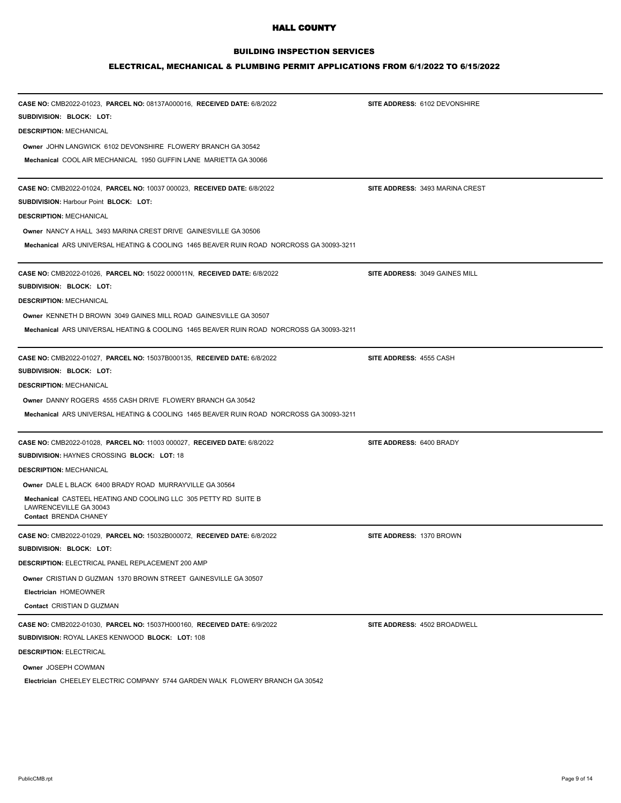## BUILDING INSPECTION SERVICES

| CASE NO: CMB2022-01023, PARCEL NO: 08137A000016, RECEIVED DATE: 6/8/2022<br>SUBDIVISION: BLOCK: LOT: | SITE ADDRESS: 6102 DEVONSHIRE   |
|------------------------------------------------------------------------------------------------------|---------------------------------|
| <b>DESCRIPTION: MECHANICAL</b>                                                                       |                                 |
| <b>Owner JOHN LANGWICK 6102 DEVONSHIRE FLOWERY BRANCH GA 30542</b>                                   |                                 |
| Mechanical COOL AIR MECHANICAL 1950 GUFFIN LANE MARIETTA GA 30066                                    |                                 |
|                                                                                                      |                                 |
| CASE NO: CMB2022-01024, PARCEL NO: 10037 000023, RECEIVED DATE: 6/8/2022                             | SITE ADDRESS: 3493 MARINA CREST |
| <b>SUBDIVISION: Harbour Point BLOCK: LOT:</b>                                                        |                                 |
| <b>DESCRIPTION: MECHANICAL</b>                                                                       |                                 |
| <b>Owner NANCY A HALL 3493 MARINA CREST DRIVE GAINESVILLE GA 30506</b>                               |                                 |
| <b>Mechanical ARS UNIVERSAL HEATING &amp; COOLING 1465 BEAVER RUIN ROAD NORCROSS GA 30093-3211</b>   |                                 |
| <b>CASE NO: CMB2022-01026, PARCEL NO: 15022 000011N, RECEIVED DATE: 6/8/2022</b>                     | SITE ADDRESS: 3049 GAINES MILL  |
| SUBDIVISION: BLOCK: LOT:                                                                             |                                 |
| <b>DESCRIPTION: MECHANICAL</b>                                                                       |                                 |
| Owner KENNETH D BROWN 3049 GAINES MILL ROAD GAINESVILLE GA 30507                                     |                                 |
| <b>Mechanical ARS UNIVERSAL HEATING &amp; COOLING 1465 BEAVER RUIN ROAD NORCROSS GA 30093-3211</b>   |                                 |
|                                                                                                      |                                 |
| CASE NO: CMB2022-01027, PARCEL NO: 15037B000135, RECEIVED DATE: 6/8/2022                             | SITE ADDRESS: 4555 CASH         |
| SUBDIVISION: BLOCK: LOT:                                                                             |                                 |
| <b>DESCRIPTION: MECHANICAL</b>                                                                       |                                 |
| Owner DANNY ROGERS 4555 CASH DRIVE FLOWERY BRANCH GA 30542                                           |                                 |
| <b>Mechanical ARS UNIVERSAL HEATING &amp; COOLING 1465 BEAVER RUIN ROAD NORCROSS GA 30093-3211</b>   |                                 |
| CASE NO: CMB2022-01028, PARCEL NO: 11003 000027, RECEIVED DATE: 6/8/2022                             | SITE ADDRESS: 6400 BRADY        |
| SUBDIVISION: HAYNES CROSSING BLOCK: LOT: 18                                                          |                                 |
| <b>DESCRIPTION: MECHANICAL</b>                                                                       |                                 |
| Owner DALE L BLACK 6400 BRADY ROAD MURRAYVILLE GA 30564                                              |                                 |
| Mechanical CASTEEL HEATING AND COOLING LLC 305 PETTY RD SUITE B                                      |                                 |
| LAWRENCEVILLE GA 30043<br>Contact BRENDA CHANEY                                                      |                                 |
| CASE NO: CMB2022-01029, PARCEL NO: 15032B000072, RECEIVED DATE: 6/8/2022                             | SITE ADDRESS: 1370 BROWN        |
| SUBDIVISION: BLOCK: LOT:                                                                             |                                 |
| <b>DESCRIPTION: ELECTRICAL PANEL REPLACEMENT 200 AMP</b>                                             |                                 |
| Owner CRISTIAN D GUZMAN 1370 BROWN STREET GAINESVILLE GA 30507                                       |                                 |
| <b>Electrician HOMEOWNER</b>                                                                         |                                 |
| Contact CRISTIAN D GUZMAN                                                                            |                                 |
| CASE NO: CMB2022-01030, PARCEL NO: 15037H000160, RECEIVED DATE: 6/9/2022                             | SITE ADDRESS: 4502 BROADWELL    |
| SUBDIVISION: ROYAL LAKES KENWOOD BLOCK: LOT: 108                                                     |                                 |
| <b>DESCRIPTION: ELECTRICAL</b>                                                                       |                                 |
| Owner JOSEPH COWMAN                                                                                  |                                 |
| Electrician CHEELEY ELECTRIC COMPANY 5744 GARDEN WALK FLOWERY BRANCH GA 30542                        |                                 |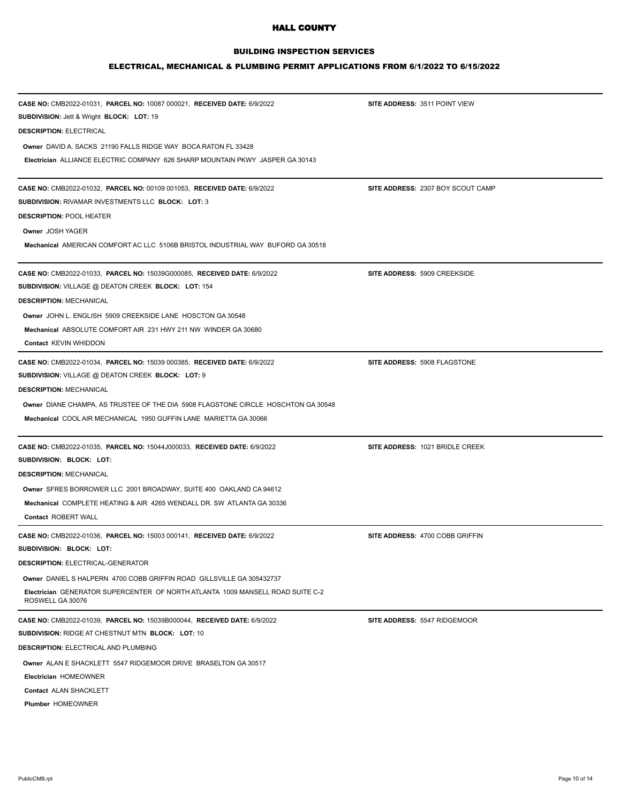## BUILDING INSPECTION SERVICES

| CASE NO: CMB2022-01031, PARCEL NO: 10087 000021, RECEIVED DATE: 6/9/2022                           | SITE ADDRESS: 3511 POINT VIEW     |  |
|----------------------------------------------------------------------------------------------------|-----------------------------------|--|
| <b>SUBDIVISION: Jett &amp; Wright BLOCK: LOT: 19</b>                                               |                                   |  |
| <b>DESCRIPTION: ELECTRICAL</b>                                                                     |                                   |  |
| Owner DAVID A. SACKS 21190 FALLS RIDGE WAY BOCA RATON FL 33428                                     |                                   |  |
| Electrician ALLIANCE ELECTRIC COMPANY 626 SHARP MOUNTAIN PKWY JASPER GA 30143                      |                                   |  |
| CASE NO: CMB2022-01032, PARCEL NO: 00109 001053, RECEIVED DATE: 6/9/2022                           | SITE ADDRESS: 2307 BOY SCOUT CAMP |  |
| <b>SUBDIVISION: RIVAMAR INVESTMENTS LLC BLOCK: LOT: 3</b>                                          |                                   |  |
| <b>DESCRIPTION: POOL HEATER</b>                                                                    |                                   |  |
| Owner JOSH YAGER                                                                                   |                                   |  |
| Mechanical AMERICAN COMFORT AC LLC 5106B BRISTOL INDUSTRIAL WAY BUFORD GA 30518                    |                                   |  |
| CASE NO: CMB2022-01033, PARCEL NO: 15039G000085, RECEIVED DATE: 6/9/2022                           | SITE ADDRESS: 5909 CREEKSIDE      |  |
| SUBDIVISION: VILLAGE @ DEATON CREEK BLOCK: LOT: 154                                                |                                   |  |
| <b>DESCRIPTION: MECHANICAL</b>                                                                     |                                   |  |
| Owner JOHN L. ENGLISH 5909 CREEKSIDE LANE HOSCTON GA 30548                                         |                                   |  |
| Mechanical ABSOLUTE COMFORT AIR 231 HWY 211 NW WINDER GA 30680                                     |                                   |  |
| Contact KEVIN WHIDDON                                                                              |                                   |  |
| CASE NO: CMB2022-01034, PARCEL NO: 15039 000385, RECEIVED DATE: 6/9/2022                           | SITE ADDRESS: 5908 FLAGSTONE      |  |
| SUBDIVISION: VILLAGE @ DEATON CREEK BLOCK: LOT: 9                                                  |                                   |  |
| <b>DESCRIPTION: MECHANICAL</b>                                                                     |                                   |  |
| Owner DIANE CHAMPA, AS TRUSTEE OF THE DIA 5908 FLAGSTONE CIRCLE HOSCHTON GA 30548                  |                                   |  |
| Mechanical COOL AIR MECHANICAL 1950 GUFFIN LANE MARIETTA GA 30066                                  |                                   |  |
| CASE NO: CMB2022-01035, PARCEL NO: 15044J000033, RECEIVED DATE: 6/9/2022                           | SITE ADDRESS: 1021 BRIDLE CREEK   |  |
| SUBDIVISION: BLOCK: LOT:                                                                           |                                   |  |
| <b>DESCRIPTION: MECHANICAL</b>                                                                     |                                   |  |
| Owner SFRES BORROWER LLC 2001 BROADWAY, SUITE 400 OAKLAND CA 94612                                 |                                   |  |
| Mechanical COMPLETE HEATING & AIR 4265 WENDALL DR. SW ATLANTA GA 30336                             |                                   |  |
| Contact ROBERT WALL                                                                                |                                   |  |
| CASE NO: CMB2022-01036, PARCEL NO: 15003 000141, RECEIVED DATE: 6/9/2022                           | SITE ADDRESS: 4700 COBB GRIFFIN   |  |
| SUBDIVISION: BLOCK: LOT:                                                                           |                                   |  |
| <b>DESCRIPTION: ELECTRICAL-GENERATOR</b>                                                           |                                   |  |
| Owner DANIEL S HALPERN 4700 COBB GRIFFIN ROAD GILLSVILLE GA 305432737                              |                                   |  |
| Electrician GENERATOR SUPERCENTER OF NORTH ATLANTA 1009 MANSELL ROAD SUITE C-2<br>ROSWELL GA 30076 |                                   |  |
| CASE NO: CMB2022-01039, PARCEL NO: 15039B000044, RECEIVED DATE: 6/9/2022                           | SITE ADDRESS: 5547 RIDGEMOOR      |  |
| <b>SUBDIVISION: RIDGE AT CHESTNUT MTN BLOCK: LOT: 10</b>                                           |                                   |  |
| <b>DESCRIPTION: ELECTRICAL AND PLUMBING</b>                                                        |                                   |  |
| Owner ALAN E SHACKLETT 5547 RIDGEMOOR DRIVE BRASELTON GA 30517                                     |                                   |  |
| <b>Electrician HOMEOWNER</b>                                                                       |                                   |  |
| Contact ALAN SHACKLETT                                                                             |                                   |  |
| Plumber HOMEOWNER                                                                                  |                                   |  |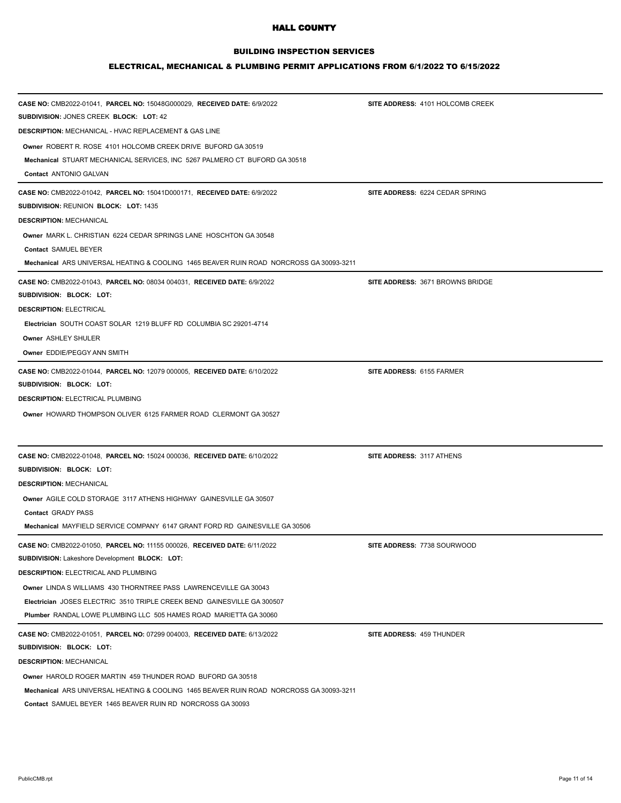## BUILDING INSPECTION SERVICES

# ELECTRICAL, MECHANICAL & PLUMBING PERMIT APPLICATIONS FROM 6/1/2022 TO 6/15/2022

| CASE NO: CMB2022-01041, PARCEL NO: 15048G000029, RECEIVED DATE: 6/9/2022<br>SUBDIVISION: JONES CREEK BLOCK: LOT: 42 | SITE ADDRESS: 4101 HOLCOMB CREEK        |
|---------------------------------------------------------------------------------------------------------------------|-----------------------------------------|
| <b>DESCRIPTION: MECHANICAL - HVAC REPLACEMENT &amp; GAS LINE</b>                                                    |                                         |
| Owner, ROBERT R. ROSE, 4101 HOLCOMB CREEK DRIVE, BUFORD GA 30519                                                    |                                         |
| Mechanical STUART MECHANICAL SERVICES, INC 5267 PALMERO CT BUFORD GA 30518                                          |                                         |
| Contact ANTONIO GALVAN                                                                                              |                                         |
| CASE NO: CMB2022-01042, PARCEL NO: 15041D000171, RECEIVED DATE: 6/9/2022                                            | SITE ADDRESS: 6224 CEDAR SPRING         |
| <b>SUBDIVISION: REUNION BLOCK: LOT: 1435</b>                                                                        |                                         |
| <b>DESCRIPTION: MECHANICAL</b>                                                                                      |                                         |
| Owner MARK L. CHRISTIAN 6224 CEDAR SPRINGS LANE HOSCHTON GA 30548                                                   |                                         |
| Contact SAMUEL BEYER                                                                                                |                                         |
| Mechanical ARS UNIVERSAL HEATING & COOLING 1465 BEAVER RUIN ROAD NORCROSS GA 30093-3211                             |                                         |
| CASE NO: CMB2022-01043, PARCEL NO: 08034 004031, RECEIVED DATE: 6/9/2022                                            | <b>SITE ADDRESS: 3671 BROWNS BRIDGE</b> |
| SUBDIVISION: BLOCK: LOT:                                                                                            |                                         |
| <b>DESCRIPTION: ELECTRICAL</b><br>Electrician SOUTH COAST SOLAR 1219 BLUFF RD COLUMBIA SC 29201-4714                |                                         |
| Owner ASHLEY SHULER                                                                                                 |                                         |
| Owner EDDIE/PEGGY ANN SMITH                                                                                         |                                         |
|                                                                                                                     |                                         |
| CASE NO: CMB2022-01044, PARCEL NO: 12079 000005, RECEIVED DATE: 6/10/2022                                           | SITE ADDRESS: 6155 FARMER               |
| SUBDIVISION: BLOCK: LOT:<br><b>DESCRIPTION: ELECTRICAL PLUMBING</b>                                                 |                                         |
| Owner HOWARD THOMPSON OLIVER 6125 FARMER ROAD CLERMONT GA 30527                                                     |                                         |
|                                                                                                                     |                                         |
| CASE NO: CMB2022-01048, PARCEL NO: 15024 000036, RECEIVED DATE: 6/10/2022                                           | SITE ADDRESS: 3117 ATHENS               |
| SUBDIVISION: BLOCK: LOT:                                                                                            |                                         |
| <b>DESCRIPTION: MECHANICAL</b>                                                                                      |                                         |
| Owner AGILE COLD STORAGE 3117 ATHENS HIGHWAY GAINESVILLE GA 30507                                                   |                                         |
| Contact GRADY PASS                                                                                                  |                                         |
| Mechanical MAYFIELD SERVICE COMPANY 6147 GRANT FORD RD GAINESVILLE GA 30506                                         |                                         |
| CASE NO: CMB2022-01050, PARCEL NO: 11155 000026, RECEIVED DATE: 6/11/2022                                           | SITE ADDRESS: 7738 SOURWOOD             |
| SUBDIVISION: Lakeshore Development BLOCK: LOT:                                                                      |                                         |
| <b>DESCRIPTION: ELECTRICAL AND PLUMBING</b>                                                                         |                                         |
| <b>Owner LINDA S WILLIAMS 430 THORNTREE PASS LAWRENCEVILLE GA 30043</b>                                             |                                         |
| Electrician JOSES ELECTRIC 3510 TRIPLE CREEK BEND GAINESVILLE GA 300507                                             |                                         |
| Plumber RANDAL LOWE PLUMBING LLC 505 HAMES ROAD MARIETTA GA 30060                                                   |                                         |
| CASE NO: CMB2022-01051, PARCEL NO: 07299 004003, RECEIVED DATE: 6/13/2022                                           | SITE ADDRESS: 459 THUNDER               |
| SUBDIVISION: BLOCK: LOT:                                                                                            |                                         |
| <b>DESCRIPTION: MECHANICAL</b>                                                                                      |                                         |
| Owner HAROLD ROGER MARTIN 459 THUNDER ROAD BUFORD GA 30518                                                          |                                         |
| Mechanical ARS UNIVERSAL HEATING & COOLING 1465 BEAVER RUIN ROAD NORCROSS GA 30093-3211                             |                                         |

**Contact** SAMUEL BEYER 1465 BEAVER RUIN RD NORCROSS GA 30093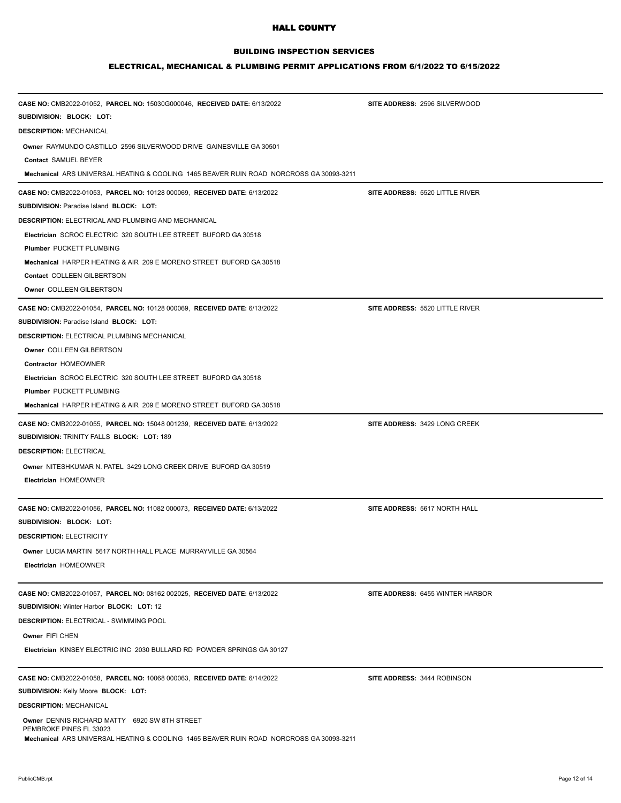## BUILDING INSPECTION SERVICES

| CASE NO: CMB2022-01052, PARCEL NO: 15030G000046, RECEIVED DATE: 6/13/2022               | SITE ADDRESS: 2596 SILVERWOOD    |
|-----------------------------------------------------------------------------------------|----------------------------------|
| SUBDIVISION: BLOCK: LOT:                                                                |                                  |
| <b>DESCRIPTION: MECHANICAL</b>                                                          |                                  |
| Owner RAYMUNDO CASTILLO 2596 SILVERWOOD DRIVE GAINESVILLE GA 30501                      |                                  |
| Contact SAMUEL BEYER                                                                    |                                  |
| Mechanical ARS UNIVERSAL HEATING & COOLING 1465 BEAVER RUIN ROAD NORCROSS GA 30093-3211 |                                  |
| CASE NO: CMB2022-01053, PARCEL NO: 10128 000069, RECEIVED DATE: 6/13/2022               | SITE ADDRESS: 5520 LITTLE RIVER  |
| <b>SUBDIVISION: Paradise Island BLOCK: LOT:</b>                                         |                                  |
| <b>DESCRIPTION: ELECTRICAL AND PLUMBING AND MECHANICAL</b>                              |                                  |
| Electrician SCROC ELECTRIC 320 SOUTH LEE STREET BUFORD GA 30518                         |                                  |
| Plumber PUCKETT PLUMBING                                                                |                                  |
| Mechanical HARPER HEATING & AIR 209 E MORENO STREET BUFORD GA 30518                     |                                  |
| Contact COLLEEN GILBERTSON                                                              |                                  |
| Owner COLLEEN GILBERTSON                                                                |                                  |
| CASE NO: CMB2022-01054, PARCEL NO: 10128 000069, RECEIVED DATE: 6/13/2022               | SITE ADDRESS: 5520 LITTLE RIVER  |
| <b>SUBDIVISION: Paradise Island BLOCK: LOT:</b>                                         |                                  |
| <b>DESCRIPTION: ELECTRICAL PLUMBING MECHANICAL</b>                                      |                                  |
| Owner COLLEEN GILBERTSON                                                                |                                  |
| Contractor HOMEOWNER                                                                    |                                  |
| Electrician SCROC ELECTRIC 320 SOUTH LEE STREET BUFORD GA 30518                         |                                  |
| Plumber PUCKETT PLUMBING                                                                |                                  |
| Mechanical HARPER HEATING & AIR 209 E MORENO STREET BUFORD GA 30518                     |                                  |
| CASE NO: CMB2022-01055, PARCEL NO: 15048 001239, RECEIVED DATE: 6/13/2022               | SITE ADDRESS: 3429 LONG CREEK    |
| SUBDIVISION: TRINITY FALLS BLOCK: LOT: 189                                              |                                  |
| <b>DESCRIPTION: ELECTRICAL</b>                                                          |                                  |
| Owner NITESHKUMAR N. PATEL 3429 LONG CREEK DRIVE BUFORD GA 30519                        |                                  |
| Electrician HOMEOWNER                                                                   |                                  |
|                                                                                         |                                  |
| CASE NO: CMB2022-01056, PARCEL NO: 11082 000073, RECEIVED DATE: 6/13/2022               | SITE ADDRESS: 5617 NORTH HALL    |
| SUBDIVISION: BLOCK: LOT:                                                                |                                  |
| <b>DESCRIPTION: ELECTRICITY</b>                                                         |                                  |
| Owner LUCIA MARTIN 5617 NORTH HALL PLACE MURRAYVILLE GA 30564                           |                                  |
| Electrician HOMEOWNER                                                                   |                                  |
|                                                                                         |                                  |
| CASE NO: CMB2022-01057, PARCEL NO: 08162 002025, RECEIVED DATE: 6/13/2022               | SITE ADDRESS: 6455 WINTER HARBOR |
| SUBDIVISION: Winter Harbor BLOCK: LOT: 12                                               |                                  |
| <b>DESCRIPTION: ELECTRICAL - SWIMMING POOL</b>                                          |                                  |
| Owner FIFI CHEN                                                                         |                                  |
| Electrician KINSEY ELECTRIC INC 2030 BULLARD RD POWDER SPRINGS GA 30127                 |                                  |
| CASE NO: CMB2022-01058, PARCEL NO: 10068 000063, RECEIVED DATE: 6/14/2022               | SITE ADDRESS: 3444 ROBINSON      |
| SUBDIVISION: Kelly Moore BLOCK: LOT:                                                    |                                  |
| <b>DESCRIPTION: MECHANICAL</b>                                                          |                                  |
| Owner DENNIS RICHARD MATTY 6920 SW 8TH STREET                                           |                                  |
| PEMBROKE PINES FL 33023                                                                 |                                  |
| Mechanical ARS UNIVERSAL HEATING & COOLING 1465 BEAVER RUIN ROAD NORCROSS GA 30093-3211 |                                  |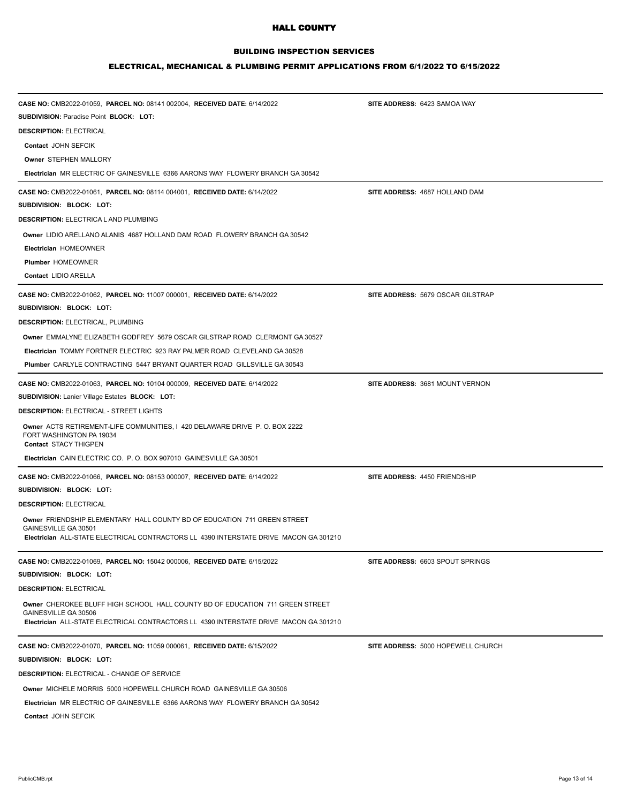## BUILDING INSPECTION SERVICES

| CASE NO: CMB2022-01059, PARCEL NO: 08141 002004, RECEIVED DATE: 6/14/2022                                                               | SITE ADDRESS: 6423 SAMOA WAY             |
|-----------------------------------------------------------------------------------------------------------------------------------------|------------------------------------------|
| <b>SUBDIVISION: Paradise Point BLOCK: LOT:</b>                                                                                          |                                          |
| <b>DESCRIPTION: ELECTRICAL</b>                                                                                                          |                                          |
| Contact JOHN SEFCIK                                                                                                                     |                                          |
| Owner STEPHEN MALLORY                                                                                                                   |                                          |
| Electrician MR ELECTRIC OF GAINESVILLE 6366 AARONS WAY FLOWERY BRANCH GA 30542                                                          |                                          |
| CASE NO: CMB2022-01061, PARCEL NO: 08114 004001, RECEIVED DATE: 6/14/2022                                                               | SITE ADDRESS: 4687 HOLLAND DAM           |
| SUBDIVISION: BLOCK: LOT:<br><b>DESCRIPTION: ELECTRICA L AND PLUMBING</b>                                                                |                                          |
| Owner LIDIO ARELLANO ALANIS 4687 HOLLAND DAM ROAD FLOWERY BRANCH GA 30542                                                               |                                          |
| Electrician HOMEOWNER                                                                                                                   |                                          |
| Plumber HOMEOWNER                                                                                                                       |                                          |
| Contact LIDIO ARELLA                                                                                                                    |                                          |
| CASE NO: CMB2022-01062, PARCEL NO: 11007 000001, RECEIVED DATE: 6/14/2022                                                               | <b>SITE ADDRESS: 5679 OSCAR GILSTRAP</b> |
| SUBDIVISION: BLOCK: LOT:                                                                                                                |                                          |
| DESCRIPTION: ELECTRICAL, PLUMBING                                                                                                       |                                          |
| Owner EMMALYNE ELIZABETH GODFREY 5679 OSCAR GILSTRAP ROAD CLERMONT GA 30527                                                             |                                          |
| <b>Electrician TOMMY FORTNER ELECTRIC 923 RAY PALMER ROAD CLEVELAND GA 30528</b>                                                        |                                          |
| Plumber CARLYLE CONTRACTING 5447 BRYANT QUARTER ROAD GILLSVILLE GA 30543                                                                |                                          |
| CASE NO: CMB2022-01063, PARCEL NO: 10104 000009, RECEIVED DATE: 6/14/2022                                                               | SITE ADDRESS: 3681 MOUNT VERNON          |
| <b>SUBDIVISION: Lanier Village Estates BLOCK: LOT:</b>                                                                                  |                                          |
| <b>DESCRIPTION: ELECTRICAL - STREET LIGHTS</b>                                                                                          |                                          |
| Owner ACTS RETIREMENT-LIFE COMMUNITIES, I 420 DELAWARE DRIVE P. O. BOX 2222<br>FORT WASHINGTON PA 19034<br><b>Contact STACY THIGPEN</b> |                                          |
| Electrician CAIN ELECTRIC CO. P. O. BOX 907010 GAINESVILLE GA 30501                                                                     |                                          |
| CASE NO: CMB2022-01066, PARCEL NO: 08153 000007, RECEIVED DATE: 6/14/2022                                                               | SITE ADDRESS: 4450 FRIENDSHIP            |
| SUBDIVISION: BLOCK: LOT:                                                                                                                |                                          |
| <b>DESCRIPTION: ELECTRICAL</b>                                                                                                          |                                          |
| Owner FRIENDSHIP ELEMENTARY HALL COUNTY BD OF EDUCATION 711 GREEN STREET                                                                |                                          |
| GAINESVILLE GA 30501<br>Electrician ALL-STATE ELECTRICAL CONTRACTORS LL 4390 INTERSTATE DRIVE MACON GA 301210                           |                                          |
|                                                                                                                                         |                                          |
| CASE NO: CMB2022-01069, PARCEL NO: 15042 000006, RECEIVED DATE: 6/15/2022                                                               | <b>SITE ADDRESS: 6603 SPOUT SPRINGS</b>  |
| SUBDIVISION: BLOCK: LOT:                                                                                                                |                                          |
| <b>DESCRIPTION: ELECTRICAL</b>                                                                                                          |                                          |
| Owner CHEROKEE BLUFF HIGH SCHOOL HALL COUNTY BD OF EDUCATION 711 GREEN STREET<br>GAINESVILLE GA 30506                                   |                                          |
| Electrician ALL-STATE ELECTRICAL CONTRACTORS LL 4390 INTERSTATE DRIVE MACON GA 301210                                                   |                                          |
| CASE NO: CMB2022-01070, PARCEL NO: 11059 000061, RECEIVED DATE: 6/15/2022                                                               | SITE ADDRESS: 5000 HOPEWELL CHURCH       |
| SUBDIVISION: BLOCK: LOT:                                                                                                                |                                          |
| <b>DESCRIPTION: ELECTRICAL - CHANGE OF SERVICE</b>                                                                                      |                                          |
| <b>Owner MICHELE MORRIS 5000 HOPEWELL CHURCH ROAD GAINESVILLE GA 30506</b>                                                              |                                          |
| Electrician MR ELECTRIC OF GAINESVILLE 6366 AARONS WAY FLOWERY BRANCH GA 30542                                                          |                                          |
| Contact JOHN SEFCIK                                                                                                                     |                                          |